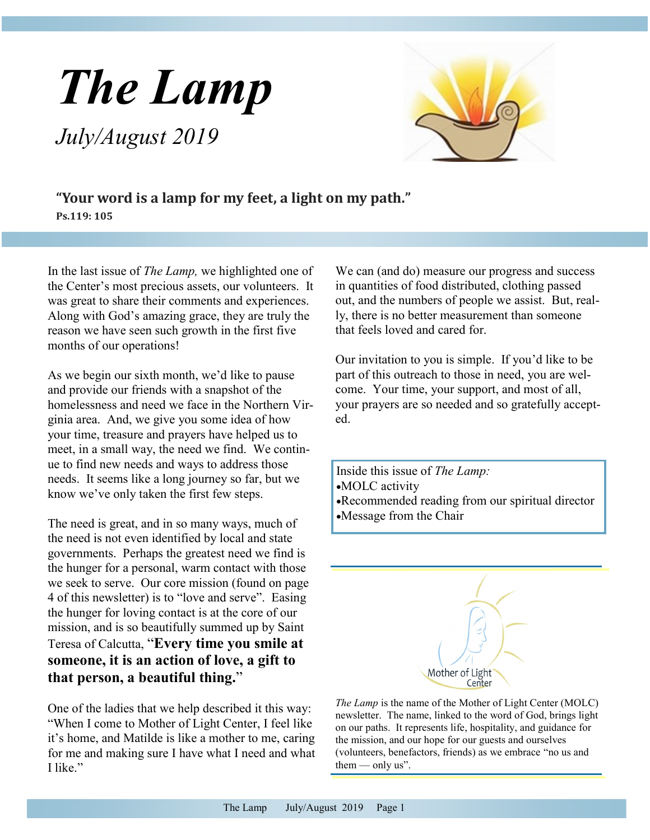# *The Lamp July/August 2019*

**"Your word is a lamp for my feet, a light on my path." Ps.119: 105**

In the last issue of *The Lamp,* we highlighted one of the Center's most precious assets, our volunteers. It was great to share their comments and experiences. Along with God's amazing grace, they are truly the reason we have seen such growth in the first five months of our operations!

As we begin our sixth month, we'd like to pause and provide our friends with a snapshot of the homelessness and need we face in the Northern Virginia area. And, we give you some idea of how your time, treasure and prayers have helped us to meet, in a small way, the need we find. We continue to find new needs and ways to address those needs. It seems like a long journey so far, but we know we've only taken the first few steps.

The need is great, and in so many ways, much of the need is not even identified by local and state governments. Perhaps the greatest need we find is the hunger for a personal, warm contact with those we seek to serve. Our core mission (found on page 4 of this newsletter) is to "love and serve". Easing the hunger for loving contact is at the core of our mission, and is so beautifully summed up by Saint Teresa of Calcutta, "**Every time you smile at someone, it is an action of love, a gift to that person, a beautiful thing.**"

One of the ladies that we help described it this way: "When I come to Mother of Light Center, I feel like it's home, and Matilde is like a mother to me, caring for me and making sure I have what I need and what I like."

We can (and do) measure our progress and success in quantities of food distributed, clothing passed out, and the numbers of people we assist. But, really, there is no better measurement than someone that feels loved and cared for.

Our invitation to you is simple. If you'd like to be part of this outreach to those in need, you are welcome. Your time, your support, and most of all, your prayers are so needed and so gratefully accepted.

Inside this issue of *The Lamp:* •MOLC activity •Recommended reading from our spiritual director •Message from the Chair



*The Lamp* is the name of the Mother of Light Center (MOLC) newsletter. The name, linked to the word of God, brings light on our paths. It represents life, hospitality, and guidance for the mission, and our hope for our guests and ourselves (volunteers, benefactors, friends) as we embrace "no us and them  $-$  only us".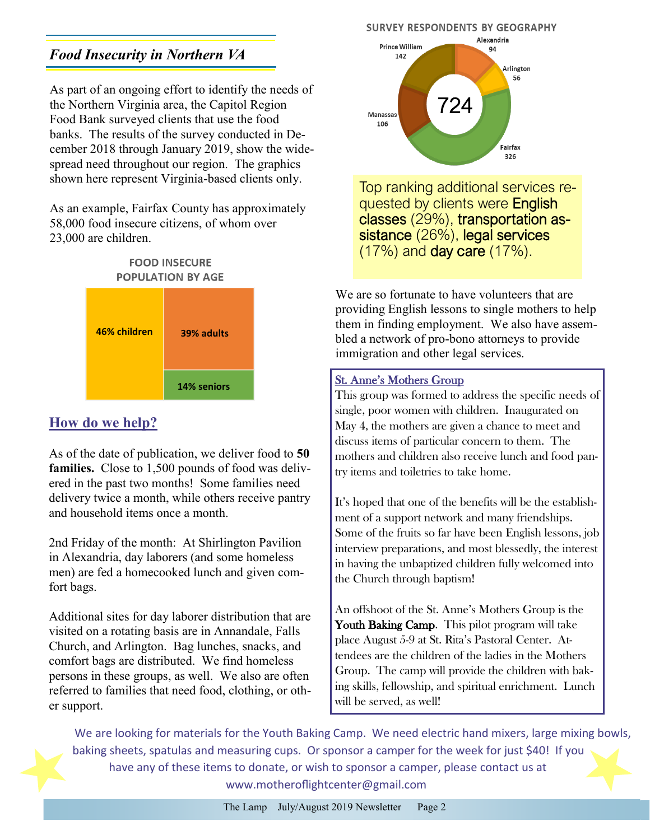## <span id="page-1-0"></span>*Food Insecurity in Northern VA*

As part of an ongoing effort to identify the needs of the Northern Virginia area, the Capitol Region Food Bank surveyed clients that use the food banks. The results of the survey conducted in December 2018 through January 2019, show the widespread need throughout our region. The graphics shown here represent Virginia-based clients only.

As an example, Fairfax County has approximately 58,000 food insecure citizens, of whom over 23,000 are children.



## **How do we help?**

As of the date of publication, we deliver food to **50 families.** Close to 1,500 pounds of food was delivered in the past two months! Some families need delivery twice a month, while others receive pantry and household items once a month.

2nd Friday of the month: At Shirlington Pavilion in Alexandria, day laborers (and some homeless men) are fed a homecooked lunch and given comfort bags.

Additional sites for day laborer distribution that are visited on a rotating basis are in Annandale, Falls Church, and Arlington. Bag lunches, snacks, and comfort bags are distributed. We find homeless persons in these groups, as well. We also are often referred to families that need food, clothing, or other support.

#### **SURVEY RESPONDENTS BY GEOGRAPHY**



Top ranking additional services requested by clients were **English** classes (29%), transportation assistance (26%), legal services (17%) and day care (17%).

We are so fortunate to have volunteers that are providing English lessons to single mothers to help them in finding employment. We also have assembled a network of pro-bono attorneys to provide immigration and other legal services.

#### St. Anne's Mothers Group

This group was formed to address the specific needs of single, poor women with children. Inaugurated on May 4, the mothers are given a chance to meet and discuss items of particular concern to them. The mothers and children also receive lunch and food pantry items and toiletries to take home.

It's hoped that one of the benefits will be the establishment of a support network and many friendships. Some of the fruits so far have been English lessons, job interview preparations, and most blessedly, the interest in having the unbaptized children fully welcomed into the Church through baptism!

An offshoot of the St. Anne's Mothers Group is the Youth Baking Camp. This pilot program will take place August 5-9 at St. Rita's Pastoral Center. Attendees are the children of the ladies in the Mothers Group. The camp will provide the children with baking skills, fellowship, and spiritual enrichment. Lunch will be served, as well!

We are looking for materials for the Youth Baking Camp. We need electric hand mixers, large mixing bowls, baking sheets, spatulas and measuring cups. Or sponsor a camper for the week for just \$40! If you have any of these items to donate, or wish to sponsor a camper, please contact us at www.motheroflightcenter@gmail.com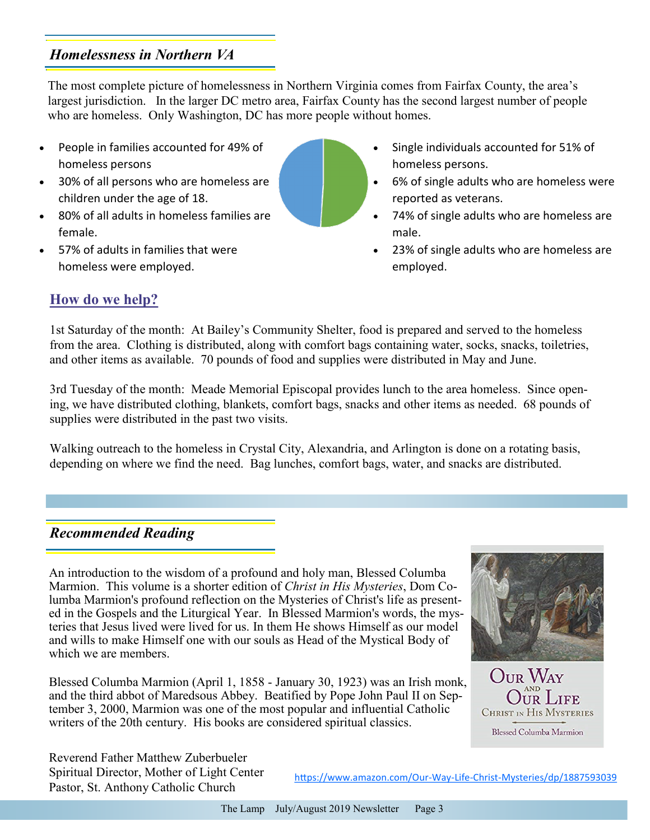### *Homelessness in Northern VA*

The most complete picture of homelessness in Northern Virginia comes from Fairfax County, the area's largest jurisdiction. In the larger DC metro area, Fairfax County has the second largest number of people who are homeless. Only Washington, DC has more people without homes.

- People in families accounted for 49% of homeless persons
- 30% of all persons who are homeless are children under the age of 18.
- 80% of all adults in homeless families are female.
- 57% of adults in families that were homeless were employed.
- Single individuals accounted for 51% of homeless persons.
- 6% of single adults who are homeless were reported as veterans.
- 74% of single adults who are homeless are male.
- 23% of single adults who are homeless are employed.

### **How do we help?**

1st Saturday of the month: At Bailey's Community Shelter, food is prepared and served to the homeless from the area. Clothing is distributed, along with comfort bags containing water, socks, snacks, toiletries, and other items as available. 70 pounds of food and supplies were distributed in May and June.

3rd Tuesday of the month: Meade Memorial Episcopal provides lunch to the area homeless. Since opening, we have distributed clothing, blankets, comfort bags, snacks and other items as needed. 68 pounds of supplies were distributed in the past two visits.

Walking outreach to the homeless in Crystal City, Alexandria, and Arlington is done on a rotating basis, depending on where we find the need. Bag lunches, comfort bags, water, and snacks are distributed.

#### *Recommended Reading*

An introduction to the wisdom of a profound and holy man, Blessed Columba Marmion. This volume is a shorter edition of *Christ in His Mysteries*, Dom Columba Marmion's profound reflection on the Mysteries of Christ's life as presented in the Gospels and the Liturgical Year. In Blessed Marmion's words, the mysteries that Jesus lived were lived for us. In them He shows Himself as our model and wills to make Himself one with our souls as Head of the Mystical Body of which we are members.

Blessed Columba Marmion (April 1, 1858 - January 30, 1923) was an Irish monk, and the third abbot of Maredsous Abbey. Beatified by Pope John Paul II on September 3, 2000, Marmion was one of the most popular and influential Catholic writers of the 20th century. His books are considered spiritual classics.





Reverend Father Matthew Zuberbueler Spiritual Director, Mother of Light Center Pastor, St. Anthony Catholic Church

[https://www.amazon.com/Our](#page-1-0)-Way-Life-Christ-Mysteries/dp/1887593039